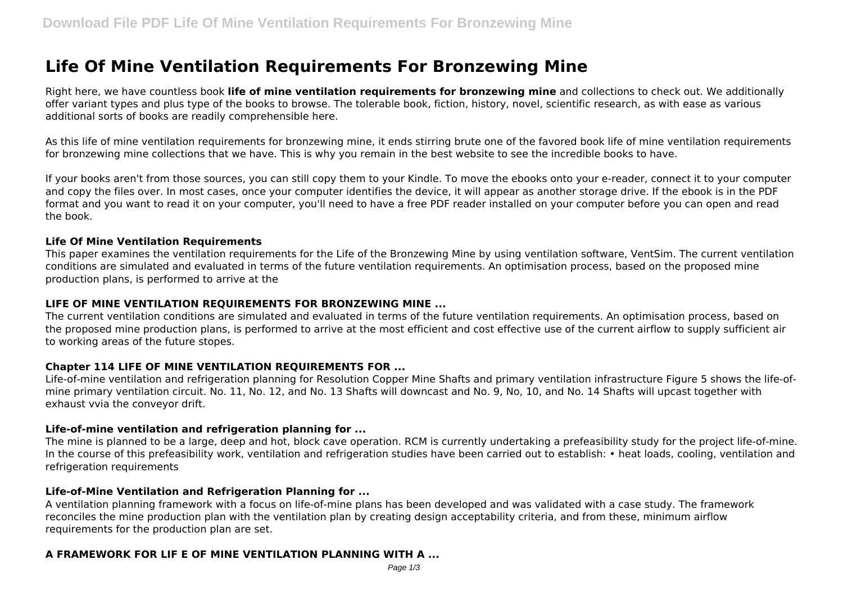# **Life Of Mine Ventilation Requirements For Bronzewing Mine**

Right here, we have countless book **life of mine ventilation requirements for bronzewing mine** and collections to check out. We additionally offer variant types and plus type of the books to browse. The tolerable book, fiction, history, novel, scientific research, as with ease as various additional sorts of books are readily comprehensible here.

As this life of mine ventilation requirements for bronzewing mine, it ends stirring brute one of the favored book life of mine ventilation requirements for bronzewing mine collections that we have. This is why you remain in the best website to see the incredible books to have.

If your books aren't from those sources, you can still copy them to your Kindle. To move the ebooks onto your e-reader, connect it to your computer and copy the files over. In most cases, once your computer identifies the device, it will appear as another storage drive. If the ebook is in the PDF format and you want to read it on your computer, you'll need to have a free PDF reader installed on your computer before you can open and read the book.

## **Life Of Mine Ventilation Requirements**

This paper examines the ventilation requirements for the Life of the Bronzewing Mine by using ventilation software, VentSim. The current ventilation conditions are simulated and evaluated in terms of the future ventilation requirements. An optimisation process, based on the proposed mine production plans, is performed to arrive at the

# **LIFE OF MINE VENTILATION REQUIREMENTS FOR BRONZEWING MINE ...**

The current ventilation conditions are simulated and evaluated in terms of the future ventilation requirements. An optimisation process, based on the proposed mine production plans, is performed to arrive at the most efficient and cost effective use of the current airflow to supply sufficient air to working areas of the future stopes.

# **Chapter 114 LIFE OF MINE VENTILATION REQUIREMENTS FOR ...**

Life-of-mine ventilation and refrigeration planning for Resolution Copper Mine Shafts and primary ventilation infrastructure Figure 5 shows the life-ofmine primary ventilation circuit. No. 11, No. 12, and No. 13 Shafts will downcast and No. 9, No, 10, and No. 14 Shafts will upcast together with exhaust vvia the conveyor drift.

## **Life-of-mine ventilation and refrigeration planning for ...**

The mine is planned to be a large, deep and hot, block cave operation. RCM is currently undertaking a prefeasibility study for the project life-of-mine. In the course of this prefeasibility work, ventilation and refrigeration studies have been carried out to establish: • heat loads, cooling, ventilation and refrigeration requirements

## **Life-of-Mine Ventilation and Refrigeration Planning for ...**

A ventilation planning framework with a focus on life-of-mine plans has been developed and was validated with a case study. The framework reconciles the mine production plan with the ventilation plan by creating design acceptability criteria, and from these, minimum airflow requirements for the production plan are set.

# **A FRAMEWORK FOR LIF E OF MINE VENTILATION PLANNING WITH A ...**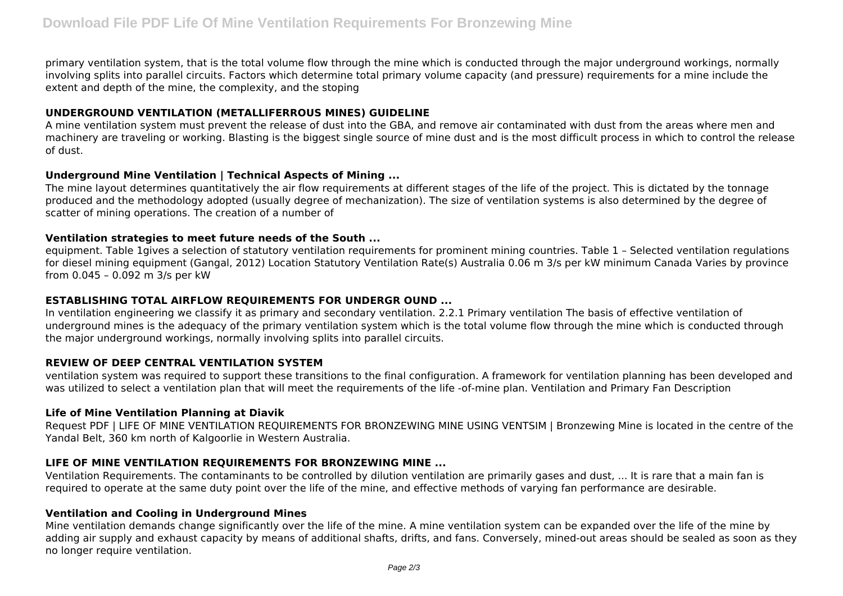primary ventilation system, that is the total volume flow through the mine which is conducted through the major underground workings, normally involving splits into parallel circuits. Factors which determine total primary volume capacity (and pressure) requirements for a mine include the extent and depth of the mine, the complexity, and the stoping

# **UNDERGROUND VENTILATION (METALLIFERROUS MINES) GUIDELINE**

A mine ventilation system must prevent the release of dust into the GBA, and remove air contaminated with dust from the areas where men and machinery are traveling or working. Blasting is the biggest single source of mine dust and is the most difficult process in which to control the release of dust.

## **Underground Mine Ventilation | Technical Aspects of Mining ...**

The mine layout determines quantitatively the air flow requirements at different stages of the life of the project. This is dictated by the tonnage produced and the methodology adopted (usually degree of mechanization). The size of ventilation systems is also determined by the degree of scatter of mining operations. The creation of a number of

## **Ventilation strategies to meet future needs of the South ...**

equipment. Table 1gives a selection of statutory ventilation requirements for prominent mining countries. Table 1 – Selected ventilation regulations for diesel mining equipment (Gangal, 2012) Location Statutory Ventilation Rate(s) Australia 0.06 m 3/s per kW minimum Canada Varies by province from 0.045 – 0.092 m 3/s per kW

## **ESTABLISHING TOTAL AIRFLOW REQUIREMENTS FOR UNDERGR OUND ...**

In ventilation engineering we classify it as primary and secondary ventilation. 2.2.1 Primary ventilation The basis of effective ventilation of underground mines is the adequacy of the primary ventilation system which is the total volume flow through the mine which is conducted through the major underground workings, normally involving splits into parallel circuits.

## **REVIEW OF DEEP CENTRAL VENTILATION SYSTEM**

ventilation system was required to support these transitions to the final configuration. A framework for ventilation planning has been developed and was utilized to select a ventilation plan that will meet the requirements of the life -of-mine plan. Ventilation and Primary Fan Description

## **Life of Mine Ventilation Planning at Diavik**

Request PDF | LIFE OF MINE VENTILATION REQUIREMENTS FOR BRONZEWING MINE USING VENTSIM | Bronzewing Mine is located in the centre of the Yandal Belt, 360 km north of Kalgoorlie in Western Australia.

# **LIFE OF MINE VENTILATION REQUIREMENTS FOR BRONZEWING MINE ...**

Ventilation Requirements. The contaminants to be controlled by dilution ventilation are primarily gases and dust, ... It is rare that a main fan is required to operate at the same duty point over the life of the mine, and effective methods of varying fan performance are desirable.

## **Ventilation and Cooling in Underground Mines**

Mine ventilation demands change significantly over the life of the mine. A mine ventilation system can be expanded over the life of the mine by adding air supply and exhaust capacity by means of additional shafts, drifts, and fans. Conversely, mined-out areas should be sealed as soon as they no longer require ventilation.